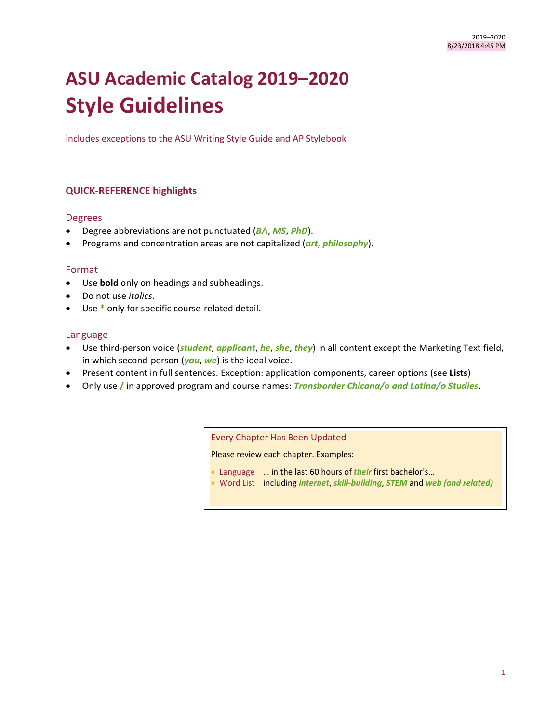# **ASU Academic Catalog 2019–2020 Style Guidelines**

includes exceptions to the [ASU Writing Style Guide](https://brandguide.asu.edu/) an[d AP Stylebook](https://www.apstylebook.com/)

# **QUICK-REFERENCE highlights**

## Degrees

- Degree abbreviations are not punctuated (*BA*, *MS*, *PhD*).
- Programs and concentration areas are not capitalized (*art*, *philosophy*).

## Format

- Use **bold** only on headings and subheadings.
- Do not use *italics*.
- Use **\*** only for specific course-related detail.

## Language

- Use third-person voice (*student*, *applicant*, *he*, *she*, *they*) in all content except the Marketing Text field, in which second-person (*you*, *we*) is the ideal voice.
- Present content in full sentences. Exception: application components, career options (see **Lists**)
- Only use **/** in approved program and course names: *Transborder Chicana/o and Latina/o Studies*.

Every Chapter Has Been Updated

Please review each chapter. Examples:

- Language … in the last 60 hours of *their* first bachelor's…
- Word List including *internet*, *skill-building*, *STEM* and *web (and related)*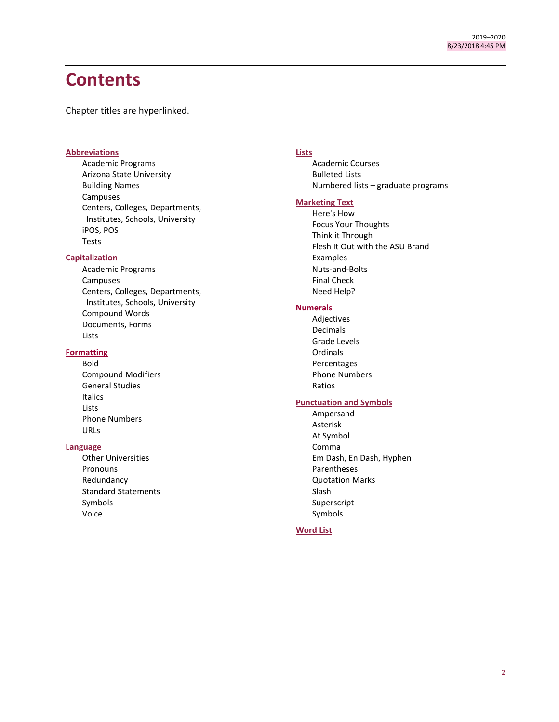# **Contents**

Chapter titles are hyperlinked.

## **[Abbreviations](#page-1-0)**

Academic Programs Arizona State University Building Names Campuses Centers, Colleges, Departments, Institutes, Schools, University iPOS, POS Tests

## **[Capitalization](#page-7-0)**

Academic Programs Campuses Centers, Colleges, Departments, Institutes, Schools, University Compound Words Documents, Forms Lists

## **[Formatting](#page-11-0)**

Bold Compound Modifiers General Studies Italics Lists Phone Numbers URLs

## **[Language](#page-12-0)**

<span id="page-1-0"></span>Other Universities **Pronouns** Redundancy Standard Statements Symbols Voice

## **[Lists](#page-17-0)**

Academic Courses Bulleted Lists Numbered lists – graduate programs

## **[Marketing Text](#page-17-0)**

Here's How Focus Your Thoughts Think it Through Flesh It Out with the ASU Brand Examples Nuts-and-Bolts Final Check Need Help?

## **[Numerals](#page-21-0)**

Adjectives Decimals Grade Levels Ordinals Percentages Phone Numbers Ratios

# **[Punctuation and Symbols](#page-23-0)**

Ampersand Asterisk At Symbol Comma Em Dash, En Dash, Hyphen Parentheses Quotation Marks Slash Superscript Symbols

## **[Word List](#page-27-0)**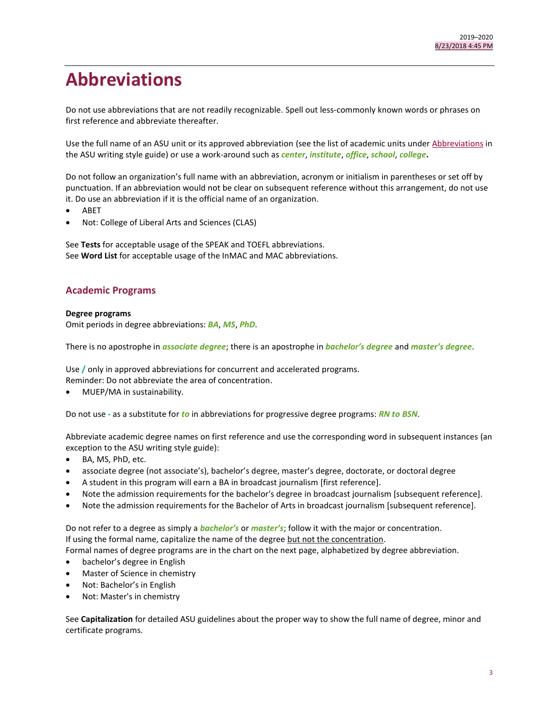# **Abbreviations**

Do not use abbreviations that are not readily recognizable. Spell out less-commonly known words or phrases on first reference and abbreviate thereafter.

Use the full name of an ASU unit or its approved abbreviation (see the list of academic units under [Abbreviations](https://brandguide.asu.edu/identity-standards/writing-style-guide/abbreviations) in the ASU writing style guide) or use a work-around such as *center*, *institute*, *office*, *school*, *college***.** 

Do not follow an organization's full name with an abbreviation, acronym or initialism in parentheses or set off by punctuation. If an abbreviation would not be clear on subsequent reference without this arrangement, do not use it. Do use an abbreviation if it is the official name of an organization.

- ABET
- Not: College of Liberal Arts and Sciences (CLAS)

See **Tests** for acceptable usage of the SPEAK and TOEFL abbreviations. See **Word List** for acceptable usage of the InMAC and MAC abbreviations.

# **Academic Programs**

## **Degree programs**

Omit periods in degree abbreviations: *BA*, *MS*, *PhD*.

There is no apostrophe in *associate degree*; there is an apostrophe in *bachelor's degree* and *master's degree*.

Use **/** only in approved abbreviations for concurrent and accelerated programs. Reminder: Do not abbreviate the area of concentration.

MUEP/MA in sustainability.

Do not use *-* as a substitute for *to* in abbreviations for progressive degree programs: *RN to BSN*.

Abbreviate academic degree names on first reference and use the corresponding word in subsequent instances (an exception to the ASU writing style guide):

- BA, MS, PhD, etc.
- associate degree (not associate's), bachelor's degree, master's degree, doctorate, or doctoral degree
- A student in this program will earn a BA in broadcast journalism [first reference].
- Note the admission requirements for the bachelor's degree in broadcast journalism [subsequent reference].
- Note the admission requirements for the Bachelor of Arts in broadcast journalism [subsequent reference].

Do not refer to a degree as simply a *bachelor's* or *master's*; follow it with the major or concentration. If using the formal name, capitalize the name of the degree but not the concentration.

Formal names of degree programs are in the chart on the next page, alphabetized by degree abbreviation.

- bachelor's degree in English
- Master of Science in chemistry
- Not: Bachelor's in English
- Not: Master's in chemistry

See **Capitalization** for detailed ASU guidelines about the proper way to show the full name of degree, minor and certificate programs.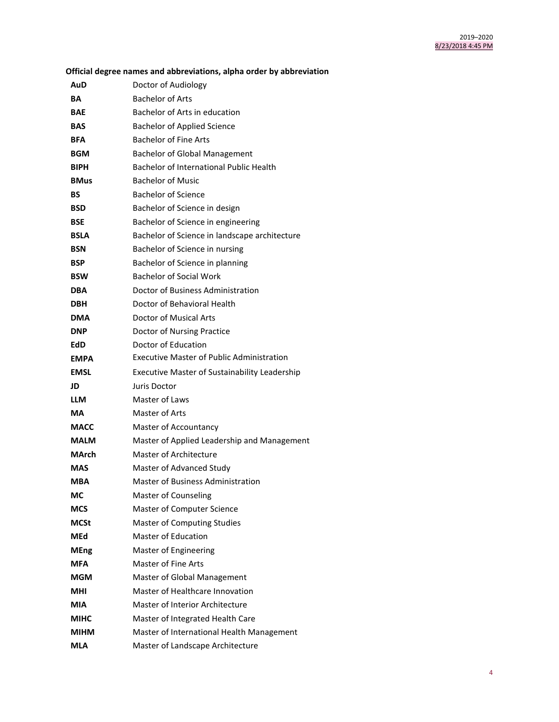| Official degree names and abbreviations, alpha order by abbreviation |                                                      |  |
|----------------------------------------------------------------------|------------------------------------------------------|--|
| AuD                                                                  | Doctor of Audiology                                  |  |
| BА                                                                   | <b>Bachelor of Arts</b>                              |  |
| <b>BAE</b>                                                           | Bachelor of Arts in education                        |  |
| <b>BAS</b>                                                           | <b>Bachelor of Applied Science</b>                   |  |
| <b>BFA</b>                                                           | <b>Bachelor of Fine Arts</b>                         |  |
| <b>BGM</b>                                                           | <b>Bachelor of Global Management</b>                 |  |
| <b>BIPH</b>                                                          | Bachelor of International Public Health              |  |
| <b>BMus</b>                                                          | <b>Bachelor of Music</b>                             |  |
| BS                                                                   | <b>Bachelor of Science</b>                           |  |
| <b>BSD</b>                                                           | Bachelor of Science in design                        |  |
| <b>BSE</b>                                                           | Bachelor of Science in engineering                   |  |
| <b>BSLA</b>                                                          | Bachelor of Science in landscape architecture        |  |
| <b>BSN</b>                                                           | Bachelor of Science in nursing                       |  |
| <b>BSP</b>                                                           | Bachelor of Science in planning                      |  |
| <b>BSW</b>                                                           | <b>Bachelor of Social Work</b>                       |  |
| <b>DBA</b>                                                           | Doctor of Business Administration                    |  |
| <b>DBH</b>                                                           | Doctor of Behavioral Health                          |  |
| <b>DMA</b>                                                           | <b>Doctor of Musical Arts</b>                        |  |
| <b>DNP</b>                                                           | Doctor of Nursing Practice                           |  |
| EdD                                                                  | Doctor of Education                                  |  |
| <b>EMPA</b>                                                          | <b>Executive Master of Public Administration</b>     |  |
| <b>EMSL</b>                                                          | <b>Executive Master of Sustainability Leadership</b> |  |
| JD                                                                   | Juris Doctor                                         |  |
| <b>LLM</b>                                                           | Master of Laws                                       |  |
| МA                                                                   | Master of Arts                                       |  |
| <b>MACC</b>                                                          | Master of Accountancy                                |  |
| <b>MALM</b>                                                          | Master of Applied Leadership and Management          |  |
| MArch                                                                | Master of Architecture                               |  |
| <b>MAS</b>                                                           | Master of Advanced Study                             |  |
| MBA                                                                  | <b>Master of Business Administration</b>             |  |
| МC                                                                   | Master of Counseling                                 |  |
| MCS                                                                  | Master of Computer Science                           |  |
| <b>MCSt</b>                                                          | <b>Master of Computing Studies</b>                   |  |
| MEd                                                                  | <b>Master of Education</b>                           |  |
| <b>MEng</b>                                                          | Master of Engineering                                |  |
| <b>MFA</b>                                                           | Master of Fine Arts                                  |  |
| MGM                                                                  | Master of Global Management                          |  |
| MHI                                                                  | Master of Healthcare Innovation                      |  |
| MIA                                                                  | Master of Interior Architecture                      |  |
| MIHC                                                                 | Master of Integrated Health Care                     |  |
| МІНМ                                                                 | Master of International Health Management            |  |
| MLA                                                                  | Master of Landscape Architecture                     |  |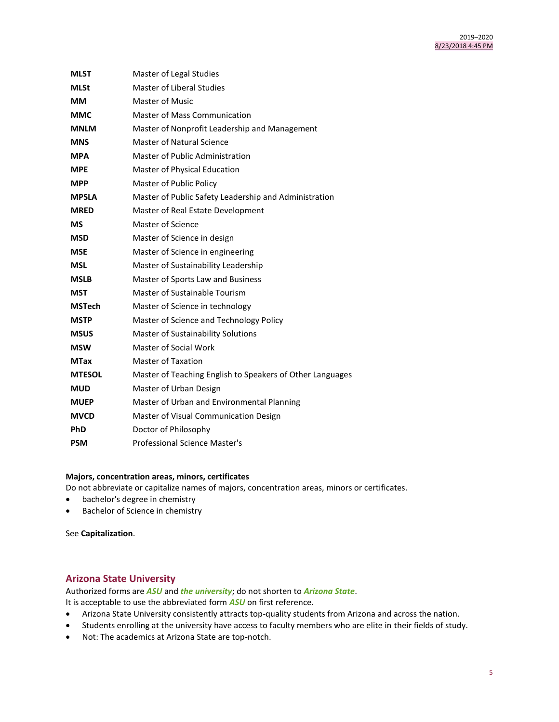| <b>MLST</b>   | Master of Legal Studies                                   |  |
|---------------|-----------------------------------------------------------|--|
| <b>MLSt</b>   | Master of Liberal Studies                                 |  |
| MМ            | Master of Music                                           |  |
| <b>MMC</b>    | Master of Mass Communication                              |  |
| <b>MNLM</b>   | Master of Nonprofit Leadership and Management             |  |
| <b>MNS</b>    | Master of Natural Science                                 |  |
| <b>MPA</b>    | Master of Public Administration                           |  |
| <b>MPE</b>    | Master of Physical Education                              |  |
| <b>MPP</b>    | Master of Public Policy                                   |  |
| <b>MPSLA</b>  | Master of Public Safety Leadership and Administration     |  |
| <b>MRED</b>   | Master of Real Estate Development                         |  |
| МS            | Master of Science                                         |  |
| <b>MSD</b>    | Master of Science in design                               |  |
| <b>MSE</b>    | Master of Science in engineering                          |  |
| <b>MSL</b>    | Master of Sustainability Leadership                       |  |
| <b>MSLB</b>   | Master of Sports Law and Business                         |  |
| <b>MST</b>    | Master of Sustainable Tourism                             |  |
| <b>MSTech</b> | Master of Science in technology                           |  |
| <b>MSTP</b>   | Master of Science and Technology Policy                   |  |
| <b>MSUS</b>   | Master of Sustainability Solutions                        |  |
| <b>MSW</b>    | Master of Social Work                                     |  |
| <b>MTax</b>   | <b>Master of Taxation</b>                                 |  |
| <b>MTESOL</b> | Master of Teaching English to Speakers of Other Languages |  |
| <b>MUD</b>    | Master of Urban Design                                    |  |
| <b>MUEP</b>   | Master of Urban and Environmental Planning                |  |
| <b>MVCD</b>   | Master of Visual Communication Design                     |  |
| <b>PhD</b>    | Doctor of Philosophy                                      |  |
| <b>PSM</b>    | Professional Science Master's                             |  |

## **Majors, concentration areas, minors, certificates**

Do not abbreviate or capitalize names of majors, concentration areas, minors or certificates.

- bachelor's degree in chemistry
- Bachelor of Science in chemistry

See **Capitalization**.

# **Arizona State University**

Authorized forms are *ASU* and *the university*; do not shorten to *Arizona State*. It is acceptable to use the abbreviated form *ASU* on first reference.

- Arizona State University consistently attracts top-quality students from Arizona and across the nation.
- Students enrolling at the university have access to faculty members who are elite in their fields of study.
- Not: The academics at Arizona State are top-notch.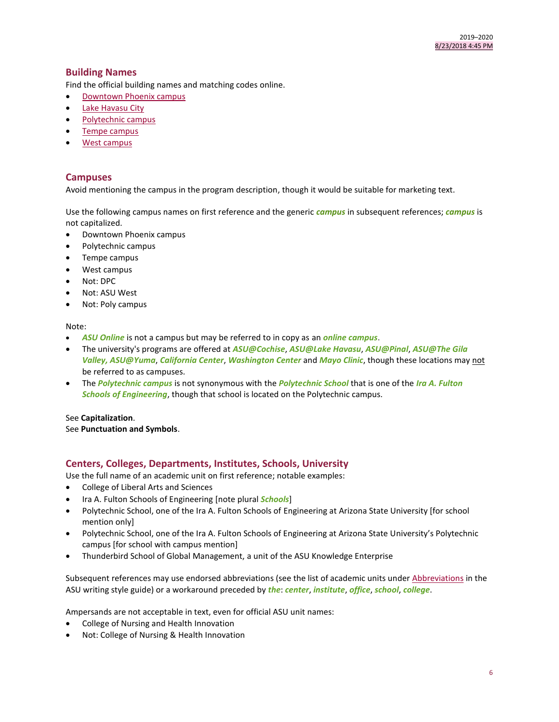# **Building Names**

Find the official building names and matching codes online.

- [Downtown Phoenix campus](https://tours.asu.edu/downtown/buildings)
- [Lake Havasu City](https://tours.asu.edu/havasu/buildings)
- [Polytechnic campus](https://tours.asu.edu/polytechnic/buildings)
- [Tempe campus](https://tours.asu.edu/tempe/buildings)
- [West campus](https://tours.asu.edu/west/buildings)

## **Campuses**

Avoid mentioning the campus in the program description, though it would be suitable for marketing text.

Use the following campus names on first reference and the generic *campus* in subsequent references; *campus* is not capitalized.

- Downtown Phoenix campus
- Polytechnic campus
- Tempe campus
- West campus
- Not: DPC
- Not: ASU West
- Not: Poly campus

#### Note:

- *ASU Online* is not a campus but may be referred to in copy as an *online campus*.
- The university's programs are offered at *ASU@Cochise*, *ASU@Lake Havasu*, *ASU@Pinal*, *ASU@The Gila Valley, ASU@Yuma*, *California Center*, *Washington Center* and *Mayo Clinic*, though these locations may not be referred to as campuses.
- The *Polytechnic campus* is not synonymous with the *Polytechnic School* that is one of the *Ira A. Fulton Schools of Engineering*, though that school is located on the Polytechnic campus.

#### See **Capitalization**.

See **Punctuation and Symbols**.

# **Centers, Colleges, Departments, Institutes, Schools, University**

Use the full name of an academic unit on first reference; notable examples:

- College of Liberal Arts and Sciences
- Ira A. Fulton Schools of Engineering [note plural *Schools*]
- Polytechnic School, one of the Ira A. Fulton Schools of Engineering at Arizona State University [for school mention only]
- Polytechnic School, one of the Ira A. Fulton Schools of Engineering at Arizona State University's Polytechnic campus [for school with campus mention]
- Thunderbird School of Global Management, a unit of the ASU Knowledge Enterprise

Subsequent references may use endorsed abbreviations (see the list of academic units unde[r Abbreviations](https://brandguide.asu.edu/identity-standards/writing-style-guide/abbreviations) in the ASU writing style guide) or a workaround preceded by *the*: *center*, *institute*, *office*, *school*, *college*.

Ampersands are not acceptable in text, even for official ASU unit names:

- College of Nursing and Health Innovation
- Not: College of Nursing & Health Innovation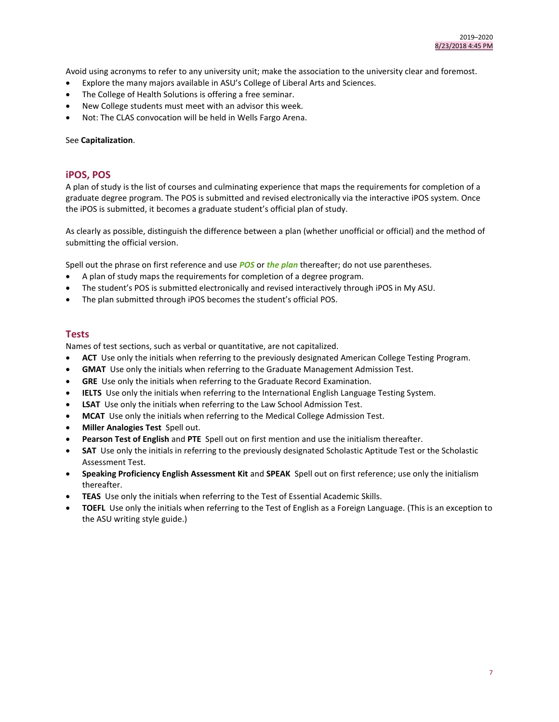Avoid using acronyms to refer to any university unit; make the association to the university clear and foremost.

- Explore the many majors available in ASU's College of Liberal Arts and Sciences.
- The College of Health Solutions is offering a free seminar.
- New College students must meet with an advisor this week.
- Not: The CLAS convocation will be held in Wells Fargo Arena.

#### See **Capitalization**.

## **iPOS, POS**

A plan of study is the list of courses and culminating experience that maps the requirements for completion of a graduate degree program. The POS is submitted and revised electronically via the interactive iPOS system. Once the iPOS is submitted, it becomes a graduate student's official plan of study.

As clearly as possible, distinguish the difference between a plan (whether unofficial or official) and the method of submitting the official version.

Spell out the phrase on first reference and use *POS* or *the plan* thereafter; do not use parentheses.

- A plan of study maps the requirements for completion of a degree program.
- The student's POS is submitted electronically and revised interactively through iPOS in My ASU.
- The plan submitted through iPOS becomes the student's official POS.

## **Tests**

Names of test sections, such as verbal or quantitative, are not capitalized.

- **ACT** Use only the initials when referring to the previously designated American College Testing Program.
- **GMAT** Use only the initials when referring to the Graduate Management Admission Test.
- **GRE** Use only the initials when referring to the Graduate Record Examination.
- **IELTS** Use only the initials when referring to the International English Language Testing System.
- **LSAT** Use only the initials when referring to the Law School Admission Test.
- **MCAT** Use only the initials when referring to the Medical College Admission Test.
- **Miller Analogies Test** Spell out.
- **Pearson Test of English** and **PTE** Spell out on first mention and use the initialism thereafter.
- **SAT** Use only the initials in referring to the previously designated Scholastic Aptitude Test or the Scholastic Assessment Test.
- **Speaking Proficiency English Assessment Kit** and **SPEAK** Spell out on first reference; use only the initialism thereafter.
- **TEAS** Use only the initials when referring to the Test of Essential Academic Skills.
- **TOEFL** Use only the initials when referring to the Test of English as a Foreign Language. (This is an exception to the ASU writing style guide.)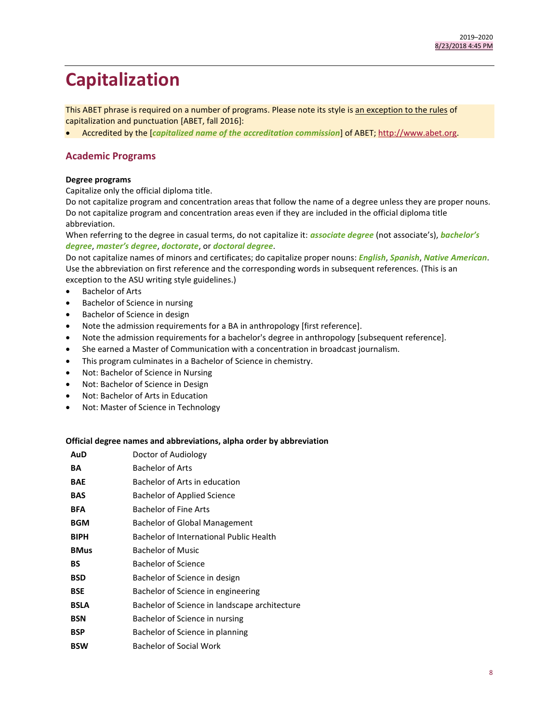# <span id="page-7-0"></span>**Capitalization**

This ABET phrase is required on a number of programs. Please note its style is an exception to the rules of capitalization and punctuation [ABET, fall 2016]:

Accredited by the [*capitalized name of the accreditation commission*] of ABET[; http://www.abet.org.](http://www.abet.org/)

## **Academic Programs**

#### **Degree programs**

Capitalize only the official diploma title.

Do not capitalize program and concentration areas that follow the name of a degree unless they are proper nouns. Do not capitalize program and concentration areas even if they are included in the official diploma title abbreviation.

When referring to the degree in casual terms, do not capitalize it: *associate degree* (not associate's), *bachelor's degree*, *master's degree*, *doctorate*, or *doctoral degree*.

Do not capitalize names of minors and certificates; do capitalize proper nouns: *English*, *Spanish*, *Native American*. Use the abbreviation on first reference and the corresponding words in subsequent references. (This is an exception to the ASU writing style guidelines.)

- Bachelor of Arts
- Bachelor of Science in nursing
- Bachelor of Science in design
- Note the admission requirements for a BA in anthropology [first reference].
- Note the admission requirements for a bachelor's degree in anthropology [subsequent reference].
- She earned a Master of Communication with a concentration in broadcast journalism.
- This program culminates in a Bachelor of Science in chemistry.
- Not: Bachelor of Science in Nursing
- Not: Bachelor of Science in Design
- Not: Bachelor of Arts in Education
- Not: Master of Science in Technology

#### **Official degree names and abbreviations, alpha order by abbreviation**

| AuD         | Doctor of Audiology                           |  |
|-------------|-----------------------------------------------|--|
| BA          | <b>Bachelor of Arts</b>                       |  |
| <b>BAE</b>  | Bachelor of Arts in education                 |  |
| <b>BAS</b>  | Bachelor of Applied Science                   |  |
| <b>BFA</b>  | Bachelor of Fine Arts                         |  |
| <b>BGM</b>  | Bachelor of Global Management                 |  |
| <b>BIPH</b> | Bachelor of International Public Health       |  |
| <b>BMus</b> | Bachelor of Music                             |  |
| BS          | <b>Bachelor of Science</b>                    |  |
| <b>BSD</b>  | Bachelor of Science in design                 |  |
| <b>BSE</b>  | Bachelor of Science in engineering            |  |
| <b>BSLA</b> | Bachelor of Science in landscape architecture |  |
| <b>BSN</b>  | Bachelor of Science in nursing                |  |
| <b>BSP</b>  | Bachelor of Science in planning               |  |
| <b>BSW</b>  | Bachelor of Social Work                       |  |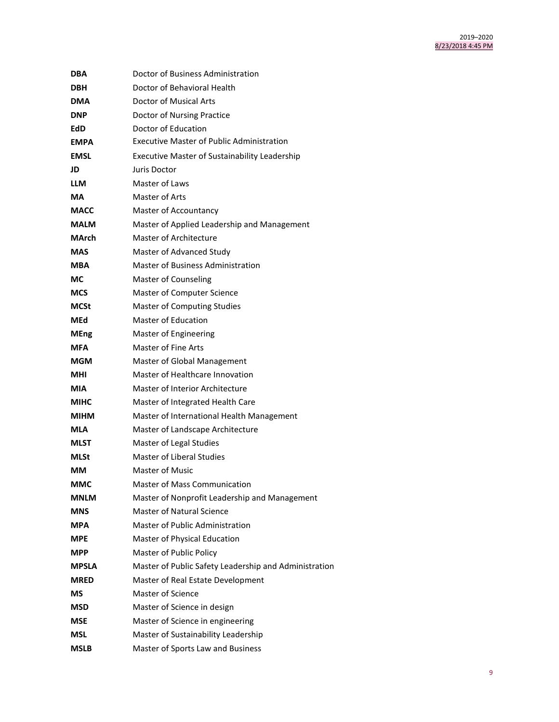| DBA          | Doctor of Business Administration                     |  |
|--------------|-------------------------------------------------------|--|
| <b>DBH</b>   | Doctor of Behavioral Health                           |  |
| <b>DMA</b>   | <b>Doctor of Musical Arts</b>                         |  |
| <b>DNP</b>   | Doctor of Nursing Practice                            |  |
| EdD          | Doctor of Education                                   |  |
| <b>EMPA</b>  | <b>Executive Master of Public Administration</b>      |  |
| <b>EMSL</b>  | <b>Executive Master of Sustainability Leadership</b>  |  |
| JD           | Juris Doctor                                          |  |
| <b>LLM</b>   | Master of Laws                                        |  |
| МA           | Master of Arts                                        |  |
| <b>MACC</b>  | Master of Accountancy                                 |  |
| <b>MALM</b>  | Master of Applied Leadership and Management           |  |
| MArch        | <b>Master of Architecture</b>                         |  |
| <b>MAS</b>   | Master of Advanced Study                              |  |
| <b>MBA</b>   | <b>Master of Business Administration</b>              |  |
| МC           | Master of Counseling                                  |  |
| <b>MCS</b>   | Master of Computer Science                            |  |
| MCSt         | <b>Master of Computing Studies</b>                    |  |
| MEd          | Master of Education                                   |  |
| <b>MEng</b>  | Master of Engineering                                 |  |
| MFA          | Master of Fine Arts                                   |  |
| MGM          | Master of Global Management                           |  |
| MHI          | Master of Healthcare Innovation                       |  |
| MIA          | Master of Interior Architecture                       |  |
| <b>MIHC</b>  | Master of Integrated Health Care                      |  |
| <b>MIHM</b>  | Master of International Health Management             |  |
| MLA          | Master of Landscape Architecture                      |  |
| MLST         | Master of Legal Studies                               |  |
| <b>MLSt</b>  | <b>Master of Liberal Studies</b>                      |  |
| ΜМ           | Master of Music                                       |  |
| ММС          | <b>Master of Mass Communication</b>                   |  |
| <b>MNLM</b>  | Master of Nonprofit Leadership and Management         |  |
| <b>MNS</b>   | Master of Natural Science                             |  |
| <b>MPA</b>   | Master of Public Administration                       |  |
| <b>MPE</b>   | Master of Physical Education                          |  |
| <b>MPP</b>   | Master of Public Policy                               |  |
| <b>MPSLA</b> | Master of Public Safety Leadership and Administration |  |
| <b>MRED</b>  | Master of Real Estate Development                     |  |
| МS           | Master of Science                                     |  |
| <b>MSD</b>   | Master of Science in design                           |  |
| <b>MSE</b>   | Master of Science in engineering                      |  |
| <b>MSL</b>   | Master of Sustainability Leadership                   |  |
| MSLB         | Master of Sports Law and Business                     |  |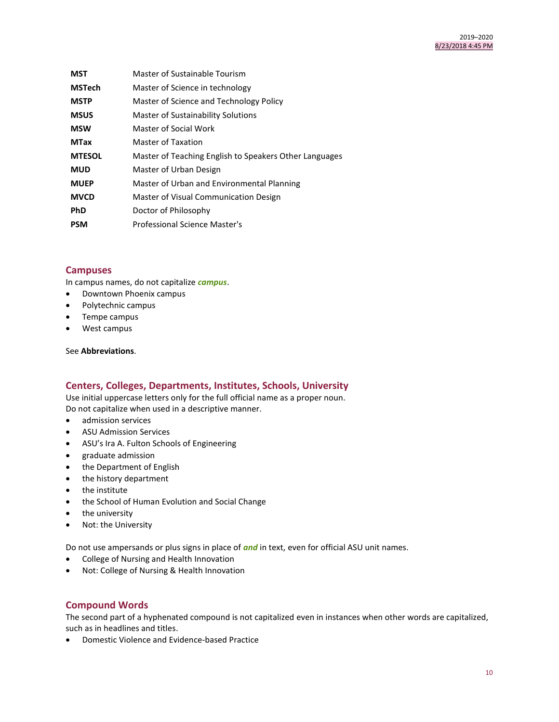| <b>MST</b>    | Master of Sustainable Tourism                          |
|---------------|--------------------------------------------------------|
| <b>MSTech</b> | Master of Science in technology                        |
| <b>MSTP</b>   | Master of Science and Technology Policy                |
| <b>MSUS</b>   | Master of Sustainability Solutions                     |
| <b>MSW</b>    | Master of Social Work                                  |
| <b>MTax</b>   | Master of Taxation                                     |
| <b>MTESOL</b> | Master of Teaching English to Speakers Other Languages |
| <b>MUD</b>    | Master of Urban Design                                 |
| <b>MUEP</b>   | Master of Urban and Environmental Planning             |
| <b>MVCD</b>   | Master of Visual Communication Design                  |
| <b>PhD</b>    | Doctor of Philosophy                                   |
| <b>PSM</b>    | Professional Science Master's                          |

## **Campuses**

In campus names, do not capitalize *campus*.

- Downtown Phoenix campus
- Polytechnic campus
- Tempe campus
- West campus

## See **Abbreviations**.

# **Centers, Colleges, Departments, Institutes, Schools, University**

Use initial uppercase letters only for the full official name as a proper noun. Do not capitalize when used in a descriptive manner.

- admission services
- ASU Admission Services
- ASU's Ira A. Fulton Schools of Engineering
- graduate admission
- the Department of English
- the history department
- the institute
- the School of Human Evolution and Social Change
- the university
- Not: the University

Do not use ampersands or plus signs in place of *and* in text, even for official ASU unit names.

- College of Nursing and Health Innovation
- Not: College of Nursing & Health Innovation

## **Compound Words**

The second part of a hyphenated compound is not capitalized even in instances when other words are capitalized, such as in headlines and titles.

Domestic Violence and Evidence-based Practice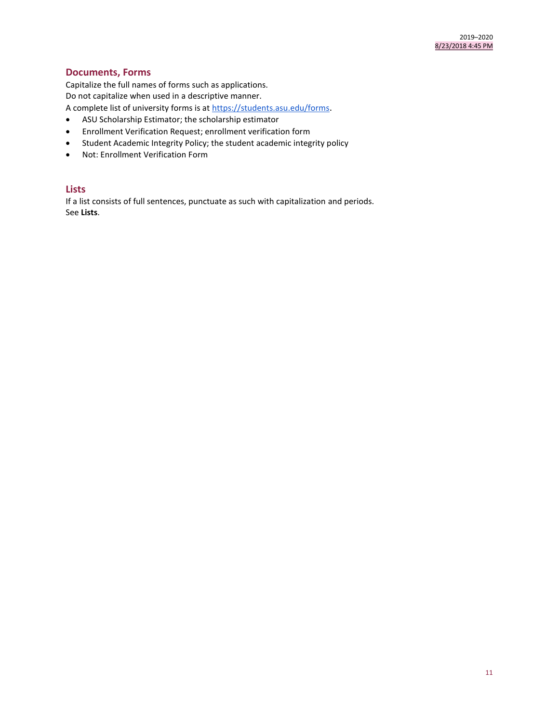# **Documents, Forms**

Capitalize the full names of forms such as applications.

Do not capitalize when used in a descriptive manner.

A complete list of university forms is at<https://students.asu.edu/forms>.

- ASU Scholarship Estimator; the scholarship estimator
- Enrollment Verification Request; enrollment verification form
- Student Academic Integrity Policy; the student academic integrity policy
- Not: Enrollment Verification Form

## **Lists**

If a list consists of full sentences, punctuate as such with capitalization and periods. See **Lists**.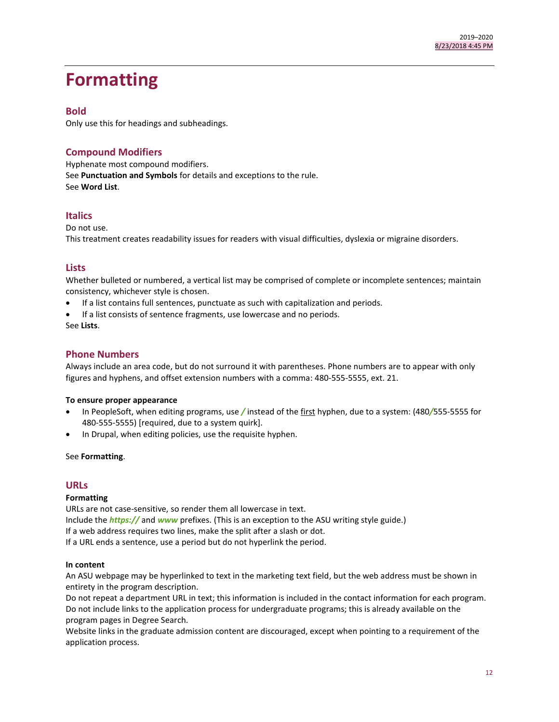# <span id="page-11-0"></span>**Formatting**

## **Bold**

Only use this for headings and subheadings.

# **Compound Modifiers**

Hyphenate most compound modifiers. See **Punctuation and Symbols** for details and exceptions to the rule. See **Word List**.

# **Italics**

Do not use. This treatment creates readability issues for readers with visual difficulties, dyslexia or migraine disorders.

## **Lists**

Whether bulleted or numbered, a vertical list may be comprised of complete or incomplete sentences; maintain consistency, whichever style is chosen.

- If a list contains full sentences, punctuate as such with capitalization and periods.
- If a list consists of sentence fragments, use lowercase and no periods.

See **Lists**.

# **Phone Numbers**

Always include an area code, but do not surround it with parentheses. Phone numbers are to appear with only figures and hyphens, and offset extension numbers with a comma: 480-555-5555, ext. 21.

#### **To ensure proper appearance**

- In PeopleSoft, when editing programs, use */* instead of the first hyphen, due to a system: (480*/*555-5555 for 480-555-5555) [required, due to a system quirk].
- In Drupal, when editing policies, use the requisite hyphen.

#### See **Formatting**.

## **URLs**

#### **Formatting**

URLs are not case-sensitive, so render them all lowercase in text. Include the *https://* and *www* prefixes. (This is an exception to the ASU writing style guide.) If a web address requires two lines, make the split after a slash or dot. If a URL ends a sentence, use a period but do not hyperlink the period.

#### **In content**

An ASU webpage may be hyperlinked to text in the marketing text field, but the web address must be shown in entirety in the program description.

Do not repeat a department URL in text; this information is included in the contact information for each program. Do not include links to the application process for undergraduate programs; this is already available on the program pages in Degree Search.

Website links in the graduate admission content are discouraged, except when pointing to a requirement of the application process.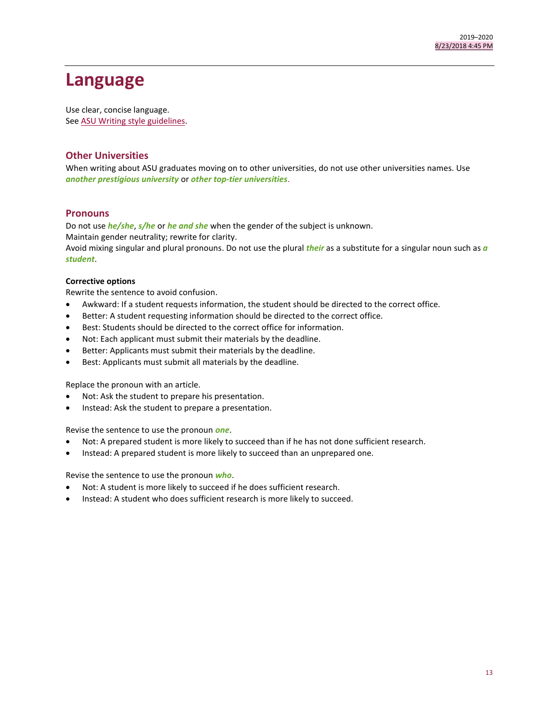# <span id="page-12-0"></span>**Language**

Use clear, concise language. See [ASU Writing style guidelines.](https://brandguide.asu.edu/identity-standards/writing-style-guide/introduction-0)

## **Other Universities**

When writing about ASU graduates moving on to other universities, do not use other universities names. Use *another prestigious university* or *other top-tier universities*.

## **Pronouns**

Do not use *he/she*, *s/he* or *he and she* when the gender of the subject is unknown. Maintain gender neutrality; rewrite for clarity. Avoid mixing singular and plural pronouns. Do not use the plural *their* as a substitute for a singular noun such as *a student*.

## **Corrective options**

Rewrite the sentence to avoid confusion.

- Awkward: If a student requests information, the student should be directed to the correct office.
- Better: A student requesting information should be directed to the correct office.
- Best: Students should be directed to the correct office for information.
- Not: Each applicant must submit their materials by the deadline.
- Better: Applicants must submit their materials by the deadline.
- Best: Applicants must submit all materials by the deadline.

Replace the pronoun with an article.

- Not: Ask the student to prepare his presentation.
- Instead: Ask the student to prepare a presentation.

Revise the sentence to use the pronoun *one*.

- Not: A prepared student is more likely to succeed than if he has not done sufficient research.
- Instead: A prepared student is more likely to succeed than an unprepared one.

Revise the sentence to use the pronoun *who*.

- Not: A student is more likely to succeed if he does sufficient research.
- Instead: A student who does sufficient research is more likely to succeed.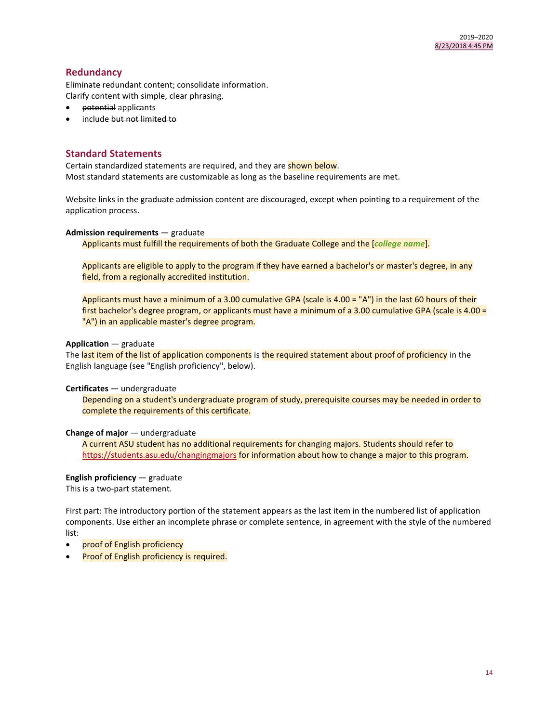# **Redundancy**

Eliminate redundant content; consolidate information. Clarify content with simple, clear phrasing.

- potential applicants
- include but not limited to

## **Standard Statements**

Certain standardized statements are required, and they are shown below. Most standard statements are customizable as long as the baseline requirements are met.

Website links in the graduate admission content are discouraged, except when pointing to a requirement of the application process.

#### **Admission requirements** — graduate

Applicants must fulfill the requirements of both the Graduate College and the [*college name*].

Applicants are eligible to apply to the program if they have earned a bachelor's or master's degree, in any field, from a regionally accredited institution.

Applicants must have a minimum of a 3.00 cumulative GPA (scale is 4.00 = "A") in the last 60 hours of their first bachelor's degree program, or applicants must have a minimum of a 3.00 cumulative GPA (scale is 4.00 = "A") in an applicable master's degree program.

## **Application** — graduate

The last item of the list of application components is the required statement about proof of proficiency in the English language (see "English proficiency", below).

#### **Certificates** — undergraduate

Depending on a student's undergraduate program of study, prerequisite courses may be needed in order to complete the requirements of this certificate.

## **Change of major** — undergraduate

A current ASU student has no additional requirements for changing majors. Students should refer to <https://students.asu.edu/changingmajors> for information about how to change a major to this program.

#### **English proficiency** — graduate

This is a two-part statement.

First part: The introductory portion of the statement appears as the last item in the numbered list of application components. Use either an incomplete phrase or complete sentence, in agreement with the style of the numbered list:

- proof of English proficiency
- Proof of English proficiency is required.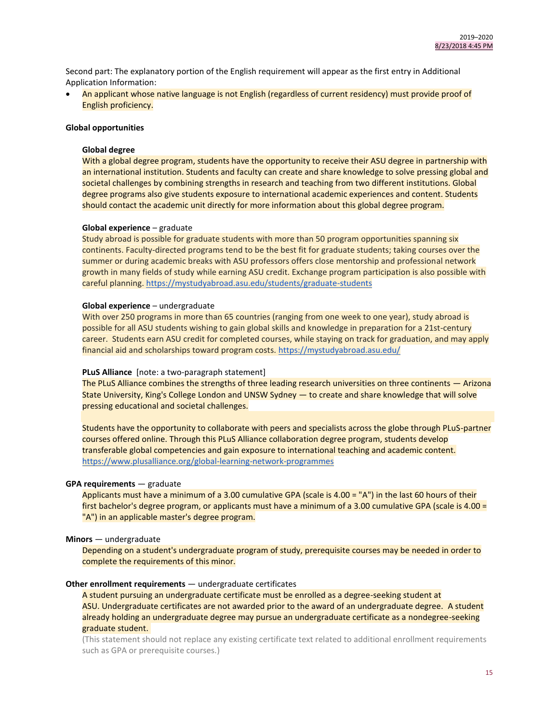Second part: The explanatory portion of the English requirement will appear as the first entry in Additional Application Information:

 An applicant whose native language is not English (regardless of current residency) must provide proof of English proficiency.

#### **Global opportunities**

#### **Global degree**

With a global degree program, students have the opportunity to receive their ASU degree in partnership with an international institution. Students and faculty can create and share knowledge to solve pressing global and societal challenges by combining strengths in research and teaching from two different institutions. Global degree programs also give students exposure to international academic experiences and content. Students should contact the academic unit directly for more information about this global degree program.

#### **Global experience** – graduate

Study abroad is possible for graduate students with more than 50 program opportunities spanning six continents. Faculty-directed programs tend to be the best fit for graduate students; taking courses over the summer or during academic breaks with ASU professors offers close mentorship and professional network growth in many fields of study while earning ASU credit. Exchange program participation is also possible with careful planning.<https://mystudyabroad.asu.edu/students/graduate-students>

#### **Global experience** – undergraduate

With over 250 programs in more than 65 countries (ranging from one week to one year), study abroad is possible for all ASU students wishing to gain global skills and knowledge in preparation for a 21st-century career. Students earn ASU credit for completed courses, while staying on track for graduation, and may apply financial aid and scholarships toward program costs.<https://mystudyabroad.asu.edu/>

#### **PLuS Alliance** [note: a two-paragraph statement]

The PLuS Alliance combines the strengths of three leading research universities on three continents — Arizona State University, King's College London and UNSW Sydney — to create and share knowledge that will solve pressing educational and societal challenges.

Students have the opportunity to collaborate with peers and specialists across the globe through PLuS-partner courses offered online. Through this PLuS Alliance collaboration degree program, students develop transferable global competencies and gain exposure to international teaching and academic content. <https://www.plusalliance.org/global-learning-network-programmes>

#### **GPA requirements** — graduate

Applicants must have a minimum of a 3.00 cumulative GPA (scale is 4.00 = "A") in the last 60 hours of their first bachelor's degree program, or applicants must have a minimum of a 3.00 cumulative GPA (scale is 4.00 = "A") in an applicable master's degree program.

#### **Minors** — undergraduate

Depending on a student's undergraduate program of study, prerequisite courses may be needed in order to complete the requirements of this minor.

#### **Other enrollment requirements** — undergraduate certificates

A student pursuing an undergraduate certificate must be enrolled as a degree-seeking student at ASU. Undergraduate certificates are not awarded prior to the award of an undergraduate degree. A student already holding an undergraduate degree may pursue an undergraduate certificate as a nondegree-seeking graduate student.

(This statement should not replace any existing certificate text related to additional enrollment requirements such as GPA or prerequisite courses.)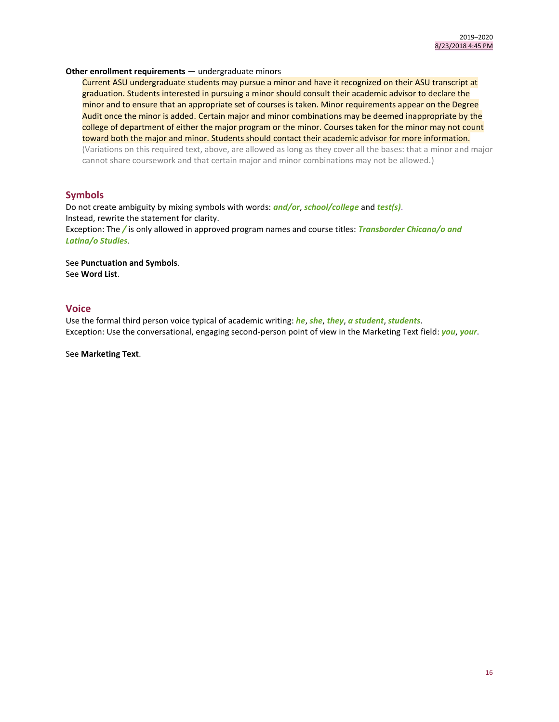#### **Other enrollment requirements** — undergraduate minors

Current ASU undergraduate students may pursue a minor and have it recognized on their ASU transcript at graduation. Students interested in pursuing a minor should consult their academic advisor to declare the minor and to ensure that an appropriate set of courses is taken. Minor requirements appear on the Degree Audit once the minor is added. Certain major and minor combinations may be deemed inappropriate by the college of department of either the major program or the minor. Courses taken for the minor may not count toward both the major and minor. Students should contact their academic advisor for more information. (Variations on this required text, above, are allowed as long as they cover all the bases: that a minor and major cannot share coursework and that certain major and minor combinations may not be allowed.)

## **Symbols**

Do not create ambiguity by mixing symbols with words: *and/or*, *school/college* and *test(s)*. Instead, rewrite the statement for clarity. Exception: The */* is only allowed in approved program names and course titles: *Transborder Chicana/o and Latina/o Studies*.

See **Punctuation and Symbols**. See **Word List**.

## **Voice**

Use the formal third person voice typical of academic writing: *he*, *she*, *they*, *a student*, *students*. Exception: Use the conversational, engaging second-person point of view in the Marketing Text field: *you*, *your*.

See **Marketing Text**.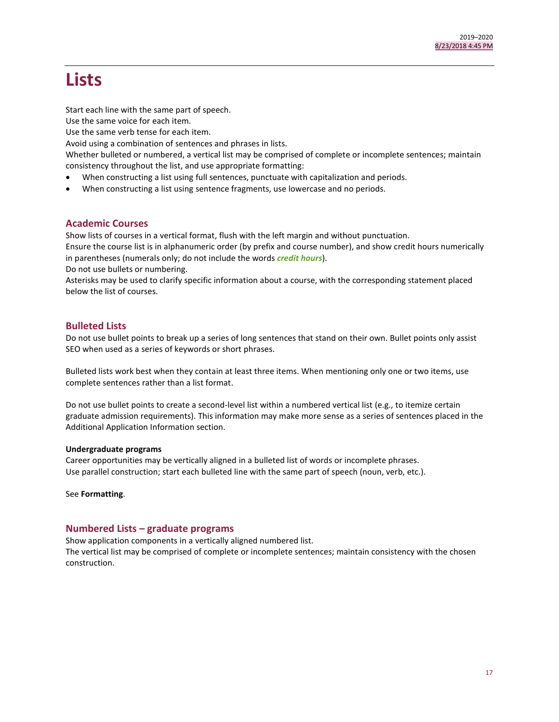# **Lists**

Start each line with the same part of speech.

Use the same voice for each item.

Use the same verb tense for each item.

Avoid using a combination of sentences and phrases in lists.

Whether bulleted or numbered, a vertical list may be comprised of complete or incomplete sentences; maintain consistency throughout the list, and use appropriate formatting:

- When constructing a list using full sentences, punctuate with capitalization and periods.
- When constructing a list using sentence fragments, use lowercase and no periods.

# **Academic Courses**

Show lists of courses in a vertical format, flush with the left margin and without punctuation.

Ensure the course list is in alphanumeric order (by prefix and course number), and show credit hours numerically in parentheses (numerals only; do not include the words *credit hours*).

Do not use bullets or numbering.

Asterisks may be used to clarify specific information about a course, with the corresponding statement placed below the list of courses.

# **Bulleted Lists**

Do not use bullet points to break up a series of long sentences that stand on their own. Bullet points only assist SEO when used as a series of keywords or short phrases.

Bulleted lists work best when they contain at least three items. When mentioning only one or two items, use complete sentences rather than a list format.

Do not use bullet points to create a second-level list within a numbered vertical list (e.g., to itemize certain graduate admission requirements). This information may make more sense as a series of sentences placed in the Additional Application Information section.

## **Undergraduate programs**

Career opportunities may be vertically aligned in a bulleted list of words or incomplete phrases. Use parallel construction; start each bulleted line with the same part of speech (noun, verb, etc.).

See **Formatting**.

# **Numbered Lists – graduate programs**

Show application components in a vertically aligned numbered list.

The vertical list may be comprised of complete or incomplete sentences; maintain consistency with the chosen construction.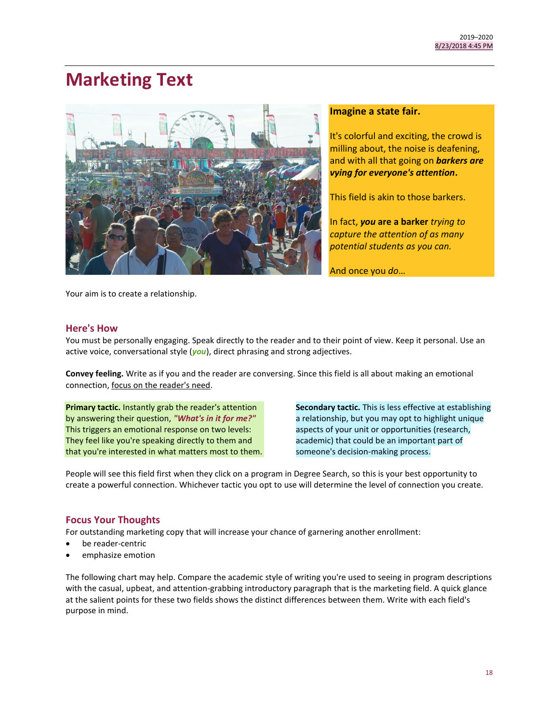# <span id="page-17-0"></span>**Marketing Text**



## **Imagine a state fair.**

It's colorful and exciting, the crowd is milling about, the noise is deafening, and with all that going on *barkers are vying for everyone's attention***.** 

This field is akin to those barkers.

In fact, *you* **are a barker** *trying to capture the attention of as many potential students as you can.*

And once you *do*…

Your aim is to create a relationship.

## **Here's How**

You must be personally engaging. Speak directly to the reader and to their point of view. Keep it personal. Use an active voice, conversational style (*you*), direct phrasing and strong adjectives.

**Convey feeling.** Write as if you and the reader are conversing. Since this field is all about making an emotional connection, focus on the reader's need.

**Primary tactic.** Instantly grab the reader's attention by answering their question, *"What's in it for me?"* This triggers an emotional response on two levels: They feel like you're speaking directly to them and that you're interested in what matters most to them. **Secondary tactic.** This is less effective at establishing a relationship, but you may opt to highlight unique aspects of your unit or opportunities (research, academic) that could be an important part of someone's decision-making process.

People will see this field first when they click on a program in Degree Search, so this is your best opportunity to create a powerful connection. Whichever tactic you opt to use will determine the level of connection you create.

# **Focus Your Thoughts**

For outstanding marketing copy that will increase your chance of garnering another enrollment:

- be reader-centric
- emphasize emotion

The following chart may help. Compare the academic style of writing you're used to seeing in program descriptions with the casual, upbeat, and attention-grabbing introductory paragraph that is the marketing field. A quick glance at the salient points for these two fields shows the distinct differences between them. Write with each field's purpose in mind.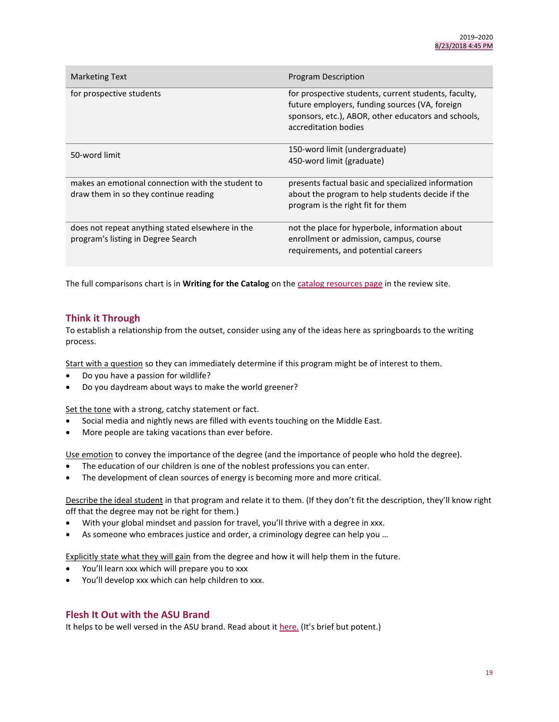| <b>Marketing Text</b>                                                                      | Program Description                                                                                                                                                                   |  |
|--------------------------------------------------------------------------------------------|---------------------------------------------------------------------------------------------------------------------------------------------------------------------------------------|--|
| for prospective students                                                                   | for prospective students, current students, faculty,<br>future employers, funding sources (VA, foreign<br>sponsors, etc.), ABOR, other educators and schools,<br>accreditation bodies |  |
| 50-word limit                                                                              | 150-word limit (undergraduate)<br>450-word limit (graduate)                                                                                                                           |  |
| makes an emotional connection with the student to<br>draw them in so they continue reading | presents factual basic and specialized information<br>about the program to help students decide if the<br>program is the right fit for them                                           |  |
| does not repeat anything stated elsewhere in the<br>program's listing in Degree Search     | not the place for hyperbole, information about<br>enrollment or admission, campus, course<br>requirements, and potential careers                                                      |  |

The full comparisons chart is in **Writing for the Catalog** on the [catalog resources page](https://catalog.asu.edu/catalog_review_resources) in the review site.

# **Think it Through**

To establish a relationship from the outset, consider using any of the ideas here as springboards to the writing process.

Start with a question so they can immediately determine if this program might be of interest to them.

- Do you have a passion for wildlife?
- Do you daydream about ways to make the world greener?

Set the tone with a strong, catchy statement or fact.

- Social media and nightly news are filled with events touching on the Middle East.
- More people are taking vacations than ever before.

Use emotion to convey the importance of the degree (and the importance of people who hold the degree).

- The education of our children is one of the noblest professions you can enter.
- The development of clean sources of energy is becoming more and more critical.

Describe the ideal student in that program and relate it to them. (If they don't fit the description, they'll know right off that the degree may not be right for them.)

- With your global mindset and passion for travel, you'll thrive with a degree in xxx.
- As someone who embraces justice and order, a criminology degree can help you …

Explicitly state what they will gain from the degree and how it will help them in the future.

- You'll learn xxx which will prepare you to xxx
- You'll develop xxx which can help children to xxx.

## **Flesh It Out with the ASU Brand**

It helps to be well versed in the ASU brand. Read about it [here.](https://brandguide.asu.edu/brand/asu-brand) (It's brief but potent.)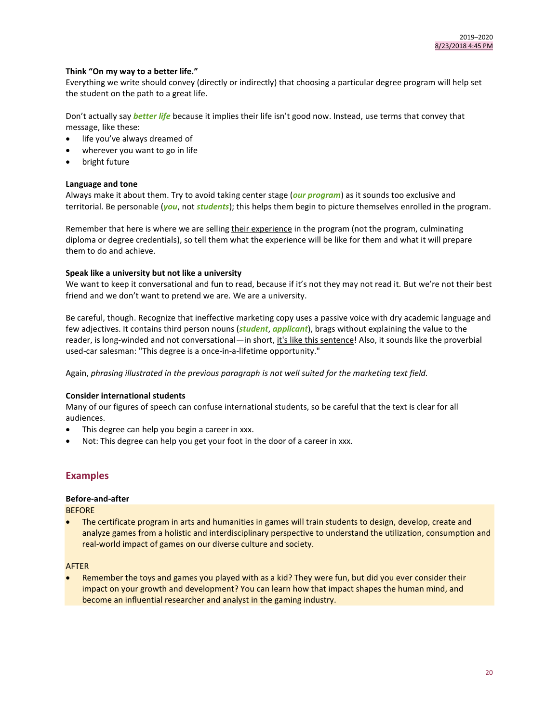## **Think "On my way to a better life."**

Everything we write should convey (directly or indirectly) that choosing a particular degree program will help set the student on the path to a great life.

Don't actually say *better life* because it implies their life isn't good now. Instead, use terms that convey that message, like these:

- life you've always dreamed of
- wherever you want to go in life
- bright future

#### **Language and tone**

Always make it about them. Try to avoid taking center stage (*our program*) as it sounds too exclusive and territorial. Be personable (*you*, not *students*); this helps them begin to picture themselves enrolled in the program.

Remember that here is where we are selling their experience in the program (not the program, culminating diploma or degree credentials), so tell them what the experience will be like for them and what it will prepare them to do and achieve.

#### **Speak like a university but not like a university**

We want to keep it conversational and fun to read, because if it's not they may not read it. But we're not their best friend and we don't want to pretend we are. We are a university.

Be careful, though. Recognize that ineffective marketing copy uses a passive voice with dry academic language and few adjectives. It contains third person nouns (*student*, *applicant*), brags without explaining the value to the reader, is long-winded and not conversational—in short, it's like this sentence! Also, it sounds like the proverbial used-car salesman: "This degree is a once-in-a-lifetime opportunity."

Again, *phrasing illustrated in the previous paragraph is not well suited for the marketing text field.*

### **Consider international students**

Many of our figures of speech can confuse international students, so be careful that the text is clear for all audiences.

- This degree can help you begin a career in xxx.
- Not: This degree can help you get your foot in the door of a career in xxx.

# **Examples**

## **Before-and-after**

**BEFORE** 

 The certificate program in arts and humanities in games will train students to design, develop, create and analyze games from a holistic and interdisciplinary perspective to understand the utilization, consumption and real-world impact of games on our diverse culture and society.

#### AFTER

 Remember the toys and games you played with as a kid? They were fun, but did you ever consider their impact on your growth and development? You can learn how that impact shapes the human mind, and become an influential researcher and analyst in the gaming industry.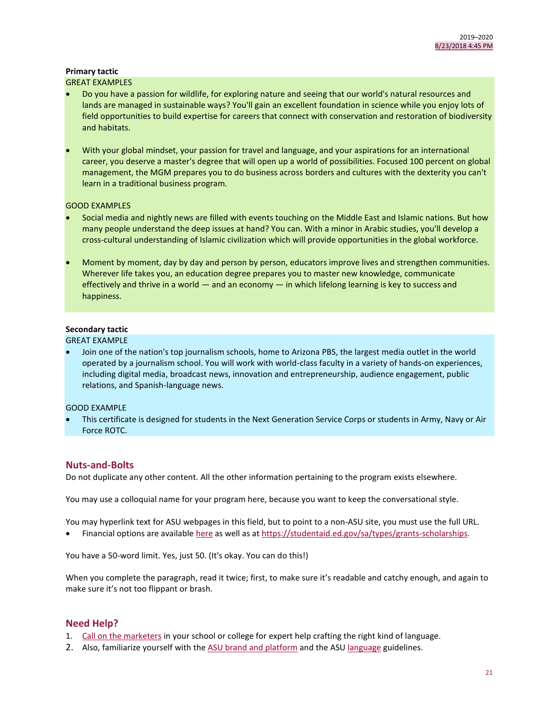# **Primary tactic**

## GREAT EXAMPLES

- Do you have [a passion for wildlife,](https://cisa.asu.edu/Christina-Akins) for exploring nature and seeing that our world's natural resources and [lands are managed in sustainable ways?](https://cisa.asu.edu/Jeffrey-Sturla) You'll gain an excellent foundation in science while you enjoy lots of [field opportunities](https://cisa.asu.edu/abs-herpetology) to build expertise for careers that connect with conservation and restoration of biodiversity and habitats.
- With your global mindset, your passion for travel and language, and your aspirations for an international career, you deserve a master's degree that will open up a world of possibilities. Focused 100 percent on global management, the MGM prepares you to do business across borders and cultures with the dexterity you can't learn in a traditional business program.

## GOOD EXAMPLES

- Social media and nightly news are filled with events touching on the Middle East and Islamic nations. But how many people understand the deep issues at hand? You can. With a minor in Arabic studies, you'll develop a cross-cultural understanding of Islamic civilization which will provide opportunities in the global workforce.
- Moment by moment, day by day and person by person, educators improve lives and strengthen communities. Wherever life takes you, an education degree prepares you to master new knowledge, communicate effectively and thrive in a world — and an economy — in which lifelong learning is key to success and happiness.

## **Secondary tactic**

#### GREAT EXAMPLE

 Join one of the nation's top journalism schools, home to Arizona PBS, the largest media outlet in the world operated by a journalism school. You will work with world-class faculty in a variety of hands-on experiences, including digital media, broadcast news, innovation and entrepreneurship, audience engagement, public relations, and Spanish-language news.

#### GOOD EXAMPLE

 This certificate is designed for students in the Next Generation Service Corps or students in Army, Navy or Air Force ROTC.

## **Nuts-and-Bolts**

Do not duplicate any other content. All the other information pertaining to the program exists elsewhere.

You may use a colloquial name for your program here, because you want to keep the conversational style.

You may hyperlink text for ASU webpages in this field, but to point to a non-ASU site, you must use the full URL.

Financial options are availabl[e here](https://students.asu.edu/financialaid) as well as a[t https://studentaid.ed.gov/sa/types/grants-scholarships.](https://studentaid.ed.gov/sa/types/grants-scholarships)

You have a 50-word limit. Yes, just 50. (It's okay. You can do this!)

When you complete the paragraph, read it twice; first, to make sure it's readable and catchy enough, and again to make sure it's not too flippant or brash.

# **Need Help?**

- 1. [Call on the marketers](https://docs.google.com/spreadsheets/d/1qurxxEYyD6BXyCE___nZpHRLM_F_Mfk5_ylNPh9VMx4/edit#gid=0) in your school or college for expert help crafting the right kind of language.
- 2. Also, familiarize yourself with th[e ASU brand and platform](https://brandguide.asu.edu/brand/asu-brand) and the ASU [language](https://brandguide.asu.edu/identity-standards/writing-style-guide/introduction-0) guidelines.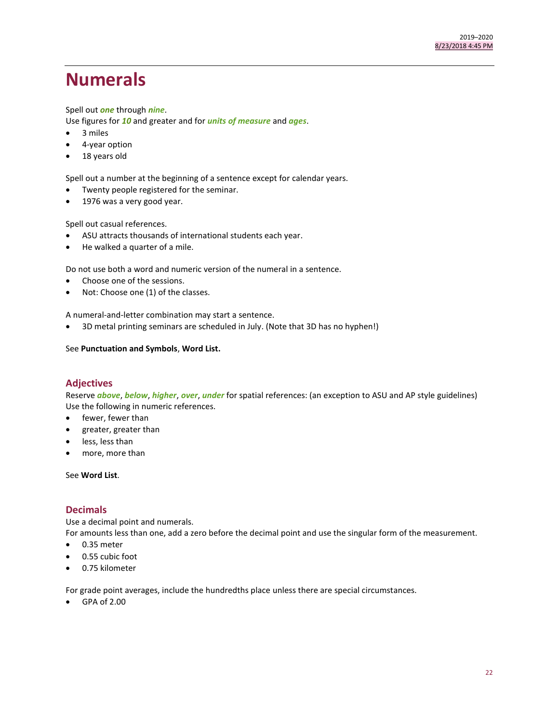# <span id="page-21-0"></span>**Numerals**

## Spell out *one* through *nine*.

Use figures for *10* and greater and for *units of measure* and *ages*.

- 3 miles
- 4-year option
- 18 years old

Spell out a number at the beginning of a sentence except for calendar years.

- Twenty people registered for the seminar.
- 1976 was a very good year.

Spell out casual references.

- ASU attracts thousands of international students each year.
- He walked a quarter of a mile.

Do not use both a word and numeric version of the numeral in a sentence.

- Choose one of the sessions.
- Not: Choose one (1) of the classes.

A numeral-and-letter combination may start a sentence.

3D metal printing seminars are scheduled in July. (Note that 3D has no hyphen!)

See **Punctuation and Symbols**, **Word List.**

## **Adjectives**

Reserve *above*, *below*, *higher*, *over*, *under* for spatial references: (an exception to ASU and AP style guidelines) Use the following in numeric references.

- fewer, fewer than
- greater, greater than
- less, less than
- more, more than

See **Word List**.

## **Decimals**

Use a decimal point and numerals.

For amounts less than one, add a zero before the decimal point and use the singular form of the measurement.

- $\bullet$  0.35 meter
- 0.55 cubic foot
- 0.75 kilometer

For grade point averages, include the hundredths place unless there are special circumstances.

GPA of 2.00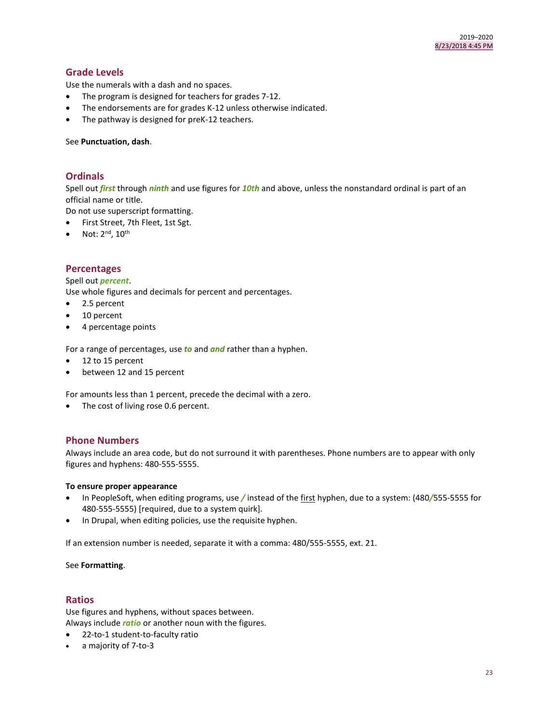# **Grade Levels**

Use the numerals with a dash and no spaces.

- The program is designed for teachers for grades 7-12.
- The endorsements are for grades K-12 unless otherwise indicated.
- The pathway is designed for preK-12 teachers.

#### See **Punctuation, dash**.

## **Ordinals**

Spell out *first* through *ninth* and use figures for *10th* and above, unless the nonstandard ordinal is part of an official name or title.

Do not use superscript formatting.

- First Street, 7th Fleet, 1st Sgt.
- Not:  $2^{nd}$ ,  $10^{th}$

## **Percentages**

#### Spell out *percent*.

Use whole figures and decimals for percent and percentages.

- 2.5 percent
- 10 percent
- 4 percentage points

For a range of percentages, use *to* and *and* rather than a hyphen.

- 12 to 15 percent
- between 12 and 15 percent

For amounts less than 1 percent, precede the decimal with a zero.

• The cost of living rose 0.6 percent.

## **Phone Numbers**

Always include an area code, but do not surround it with parentheses. Phone numbers are to appear with only figures and hyphens: 480-555-5555.

#### **To ensure proper appearance**

- In PeopleSoft, when editing programs, use */* instead of the first hyphen, due to a system: (480*/*555-5555 for 480-555-5555) [required, due to a system quirk].
- In Drupal, when editing policies, use the requisite hyphen.

If an extension number is needed, separate it with a comma: 480/555-5555, ext. 21.

#### See **Formatting**.

#### **Ratios**

Use figures and hyphens, without spaces between. Always include *ratio* or another noun with the figures.

- 22-to-1 student-to-faculty ratio
- a majority of 7-to-3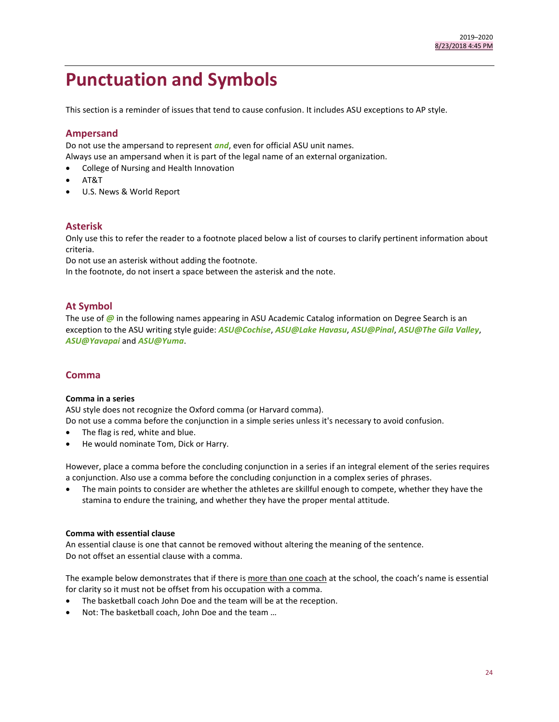# <span id="page-23-0"></span>**Punctuation and Symbols**

This section is a reminder of issues that tend to cause confusion. It includes ASU exceptions to AP style.

# **Ampersand**

Do not use the ampersand to represent *and*, even for official ASU unit names.

Always use an ampersand when it is part of the legal name of an external organization.

- College of Nursing and Health Innovation
- AT&T
- U.S. News & World Report

# **Asterisk**

Only use this to refer the reader to a footnote placed below a list of courses to clarify pertinent information about criteria.

Do not use an asterisk without adding the footnote.

In the footnote, do not insert a space between the asterisk and the note.

# **At Symbol**

The use of  $\omega$  in the following names appearing in ASU Academic Catalog information on Degree Search is an exception to the ASU writing style guide: *ASU@Cochise*, *ASU@Lake Havasu*, *ASU@Pinal*, *ASU@The Gila Valley*, *ASU@Yavapai* and *ASU@Yuma*.

# **Comma**

## **Comma in a series**

ASU style does not recognize the Oxford comma (or Harvard comma).

Do not use a comma before the conjunction in a simple series unless it's necessary to avoid confusion.

- The flag is red, white and blue.
- He would nominate Tom, Dick or Harry.

However, place a comma before the concluding conjunction in a series if an integral element of the series requires a conjunction. Also use a comma before the concluding conjunction in a complex series of phrases.

 The main points to consider are whether the athletes are skillful enough to compete, whether they have the stamina to endure the training, and whether they have the proper mental attitude.

## **Comma with essential clause**

An essential clause is one that cannot be removed without altering the meaning of the sentence. Do not offset an essential clause with a comma.

The example below demonstrates that if there is more than one coach at the school, the coach's name is essential for clarity so it must not be offset from his occupation with a comma.

- The basketball coach John Doe and the team will be at the reception.
- Not: The basketball coach, John Doe and the team …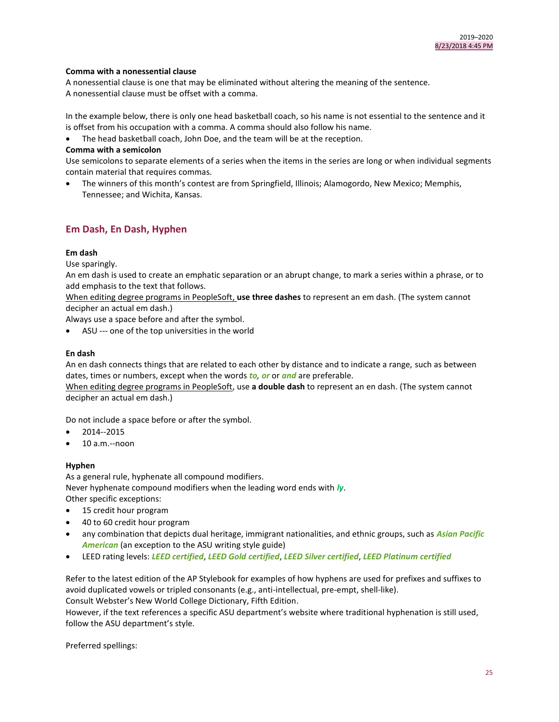## **Comma with a nonessential clause**

A nonessential clause is one that may be eliminated without altering the meaning of the sentence. A nonessential clause must be offset with a comma.

In the example below, there is only one head basketball coach, so his name is not essential to the sentence and it is offset from his occupation with a comma. A comma should also follow his name.

The head basketball coach, John Doe, and the team will be at the reception.

## **Comma with a semicolon**

Use semicolons to separate elements of a series when the items in the series are long or when individual segments contain material that requires commas.

 The winners of this month's contest are from Springfield, Illinois; Alamogordo, New Mexico; Memphis, Tennessee; and Wichita, Kansas.

# **Em Dash, En Dash, Hyphen**

## **Em dash**

Use sparingly.

An em dash is used to create an emphatic separation or an abrupt change, to mark a series within a phrase, or to add emphasis to the text that follows.

When editing degree programs in PeopleSoft, **use three dashes** to represent an em dash. (The system cannot decipher an actual em dash.)

Always use a space before and after the symbol.

ASU --- one of the top universities in the world

## **En dash**

An en dash connects things that are related to each other by distance and to indicate a range, such as between dates, times or numbers, except when the words *to, or* or *and* are preferable.

When editing degree programs in PeopleSoft, use **a double dash** to represent an en dash. (The system cannot decipher an actual em dash.)

Do not include a space before or after the symbol.

- 2014--2015
- 10 a.m.--noon

#### **Hyphen**

As a general rule, hyphenate all compound modifiers. Never hyphenate compound modifiers when the leading word ends with *ly*. Other specific exceptions:

- 15 credit hour program
- 40 to 60 credit hour program
- any combination that depicts dual heritage, immigrant nationalities, and ethnic groups, such as *Asian Pacific American* (an exception to the ASU writing style guide)
- LEED rating levels: *LEED certified*, *LEED Gold certified*, *LEED Silver certified*, *LEED Platinum certified*

Refer to the latest edition of the AP Stylebook for examples of how hyphens are used for prefixes and suffixes to avoid duplicated vowels or tripled consonants (e.g., anti-intellectual, pre-empt, shell-like). Consult Webster's New World College Dictionary, Fifth Edition.

However, if the text references a specific ASU department's website where traditional hyphenation is still used, follow the ASU department's style.

Preferred spellings: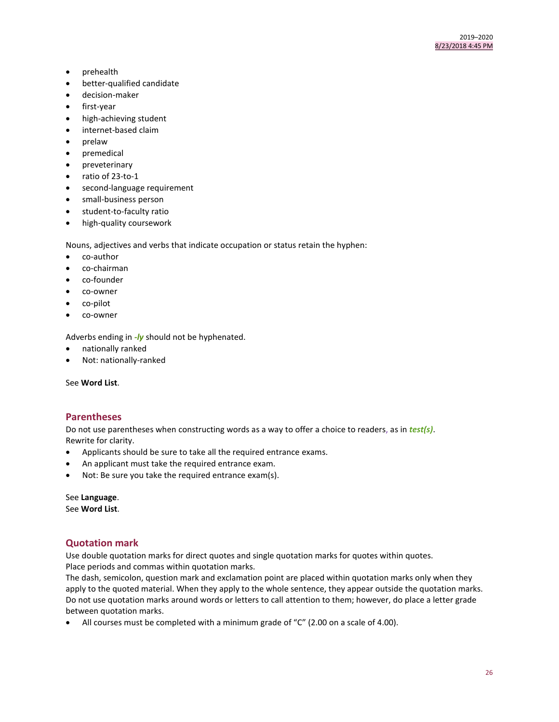- prehealth
- better-qualified candidate
- decision-maker
- first-year
- high-achieving student
- internet-based claim
- prelaw
- premedical
- **•** preveterinary
- $\bullet$  ratio of 23-to-1
- second-language requirement
- small-business person
- student-to-faculty ratio
- high-quality coursework

Nouns, adjectives and verbs that indicate occupation or status retain the hyphen:

- co-author
- co-chairman
- co-founder
- co-owner
- co-pilot
- co-owner

Adverbs ending in *-ly* should not be hyphenated.

- nationally ranked
- Not: nationally-ranked

See **Word List**.

## **Parentheses**

Do not use parentheses when constructing words as a way to offer a choice to readers, as in *test(s)*. Rewrite for clarity.

- Applicants should be sure to take all the required entrance exams.
- An applicant must take the required entrance exam.
- Not: Be sure you take the required entrance exam(s).

See **Language**. See **Word List**.

# **Quotation mark**

Use double quotation marks for direct quotes and single quotation marks for quotes within quotes. Place periods and commas within quotation marks.

The dash, semicolon, question mark and exclamation point are placed within quotation marks only when they apply to the quoted material. When they apply to the whole sentence, they appear outside the quotation marks. Do not use quotation marks around words or letters to call attention to them; however, do place a letter grade between quotation marks.

All courses must be completed with a minimum grade of "C" (2.00 on a scale of 4.00).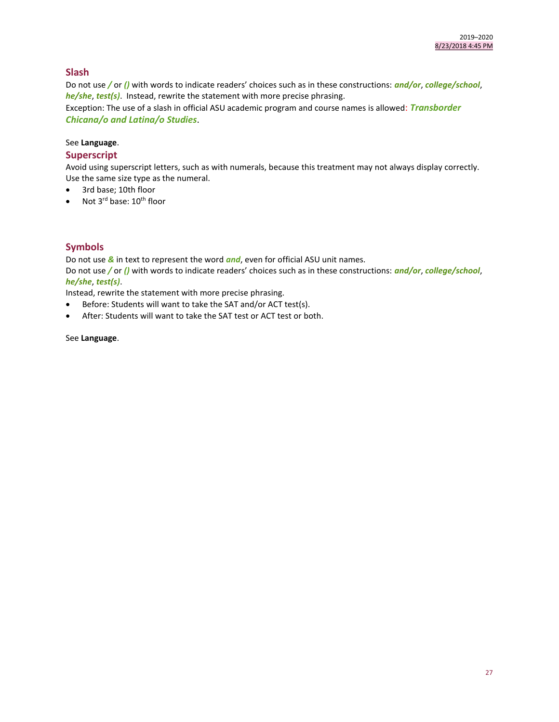# **Slash**

Do not use */* or *()* with words to indicate readers' choices such as in these constructions: *and/or*, *college/school*, *he/she*, *test(s)*. Instead, rewrite the statement with more precise phrasing. Exception: The use of a slash in official ASU academic program and course names is allowed: *Transborder* 

*Chicana/o and Latina/o Studies*.

## See **Language**.

# **Superscript**

Avoid using superscript letters, such as with numerals, because this treatment may not always display correctly. Use the same size type as the numeral.

- 3rd base; 10th floor
- Not  $3^{\text{rd}}$  base:  $10^{\text{th}}$  floor

# **Symbols**

Do not use *&* in text to represent the word *and*, even for official ASU unit names.

Do not use */* or *()* with words to indicate readers' choices such as in these constructions: *and/or*, *college/school*, *he/she*, *test(s)*.

Instead, rewrite the statement with more precise phrasing.

- Before: Students will want to take the SAT and/or ACT test(s).
- After: Students will want to take the SAT test or ACT test or both.

## See **Language**.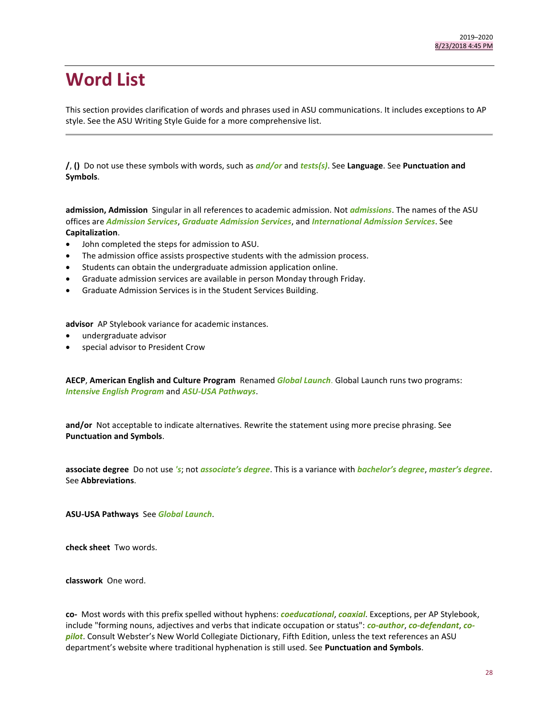# <span id="page-27-0"></span>**Word List**

This section provides clarification of words and phrases used in ASU communications. It includes exceptions to AP style. See the ASU Writing Style Guide for a more comprehensive list.

**/**, **()** Do not use these symbols with words, such as *and/or* and *tests(s)*. See **Language**. See **Punctuation and Symbols**.

**admission, Admission** Singular in all references to academic admission. Not *admissions*. The names of the ASU offices are *Admission Services*, *Graduate Admission Services*, and *International Admission Services*. See **Capitalization**.

- John completed the steps for admission to ASU.
- The admission office assists prospective students with the admission process.
- Students can obtain the undergraduate admission application online.
- Graduate admission services are available in person Monday through Friday.
- Graduate Admission Services is in the Student Services Building.

**advisor** AP Stylebook variance for academic instances.

- undergraduate advisor
- special advisor to President Crow

**AECP**, **American English and Culture Program** Renamed *Global Launch*. Global Launch runs two programs: *Intensive English Program* and *ASU-USA Pathways*.

**and/or** Not acceptable to indicate alternatives. Rewrite the statement using more precise phrasing. See **Punctuation and Symbols**.

**associate degree** Do not use *'s*; not *associate's degree*. This is a variance with *bachelor's degree*, *master's degree*. See **Abbreviations**.

**ASU-USA Pathways** See *Global Launch*.

**check sheet** Two words.

**classwork** One word.

**co-** Most words with this prefix spelled without hyphens: *coeducational*, *coaxial*. Exceptions, per AP Stylebook, include "forming nouns, adjectives and verbs that indicate occupation or status": *co-author*, *co-defendant*, *copilot*. Consult Webster's New World Collegiate Dictionary, Fifth Edition, unless the text references an ASU department's website where traditional hyphenation is still used. See **Punctuation and Symbols**.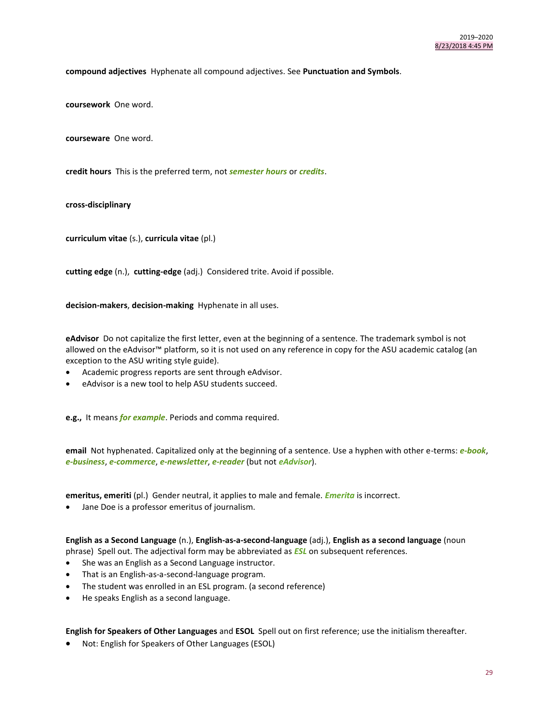**compound adjectives** Hyphenate all compound adjectives. See **Punctuation and Symbols**.

**coursework** One word.

**courseware** One word.

**credit hours** This is the preferred term, not *semester hours* or *credits*.

**cross-disciplinary**

**curriculum vitae** (s.), **curricula vitae** (pl.)

**cutting edge** (n.), **cutting-edge** (adj.) Considered trite. Avoid if possible.

**decision-makers**, **decision-making** Hyphenate in all uses.

**eAdvisor** Do not capitalize the first letter, even at the beginning of a sentence. The trademark symbol is not allowed on the eAdvisor™ platform, so it is not used on any reference in copy for the ASU academic catalog (an exception to the ASU writing style guide).

- Academic progress reports are sent through eAdvisor.
- eAdvisor is a new tool to help ASU students succeed.

**e.g.,** It means *for example*. Periods and comma required.

**email** Not hyphenated. Capitalized only at the beginning of a sentence. Use a hyphen with other e-terms: *e-book*, *e-business*, *e-commerce*, *e-newsletter*, *e-reader* (but not *eAdvisor*).

**emeritus, emeriti** (pl.) Gender neutral, it applies to male and female. *Emerita* is incorrect.

Jane Doe is a professor emeritus of journalism.

**English as a Second Language** (n.), **English-as-a-second-language** (adj.), **English as a second language** (noun phrase) Spell out. The adjectival form may be abbreviated as *ESL* on subsequent references.

- She was an English as a Second Language instructor.
- That is an English-as-a-second-language program.
- The student was enrolled in an ESL program. (a second reference)
- He speaks English as a second language.

**English for Speakers of Other Languages** and **ESOL** Spell out on first reference; use the initialism thereafter.

Not: English for Speakers of Other Languages (ESOL)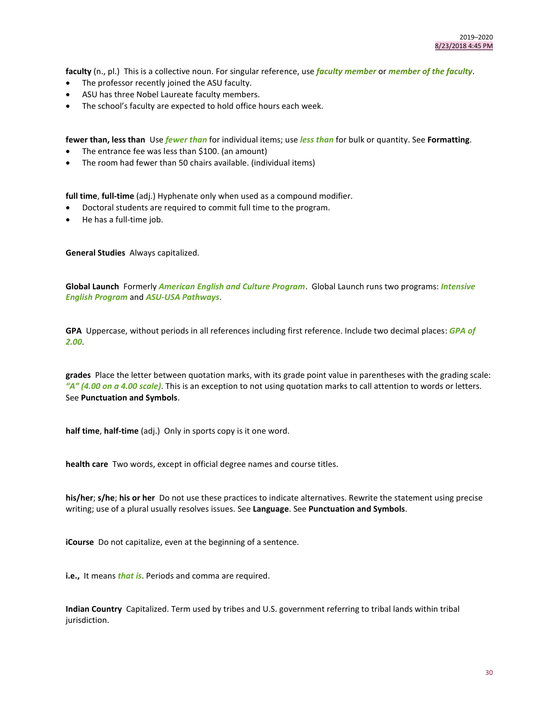**faculty** (n., pl.) This is a collective noun. For singular reference, use *faculty member* or *member of the faculty*.

- The professor recently joined the ASU faculty.
- ASU has three Nobel Laureate faculty members.
- The school's faculty are expected to hold office hours each week.

**fewer than, less than** Use *fewer than* for individual items; use *less than* for bulk or quantity. See **Formatting**.

- The entrance fee was less than \$100. (an amount)
- The room had fewer than 50 chairs available. (individual items)

**full time**, **full-time** (adj.) Hyphenate only when used as a compound modifier.

- Doctoral students are required to commit full time to the program.
- He has a full-time job.

**General Studies** Always capitalized.

**Global Launch** Formerly *American English and Culture Program*. Global Launch runs two programs: *Intensive English Program* and *ASU-USA Pathways*.

**GPA** Uppercase, without periods in all references including first reference. Include two decimal places: *GPA of 2.00*.

**grades** Place the letter between quotation marks, with its grade point value in parentheses with the grading scale: *"A" (4.00 on a 4.00 scale)*. This is an exception to not using quotation marks to call attention to words or letters. See **Punctuation and Symbols**.

**half time**, **half-time** (adj.) Only in sports copy is it one word.

**health care** Two words, except in official degree names and course titles.

**his/her**; **s/he**; **his or her** Do not use these practices to indicate alternatives. Rewrite the statement using precise writing; use of a plural usually resolves issues. See **Language**. See **Punctuation and Symbols**.

**iCourse** Do not capitalize, even at the beginning of a sentence.

**i.e.,** It means *that is*. Periods and comma are required.

**Indian Country** Capitalized. Term used by tribes and U.S. government referring to tribal lands within tribal jurisdiction.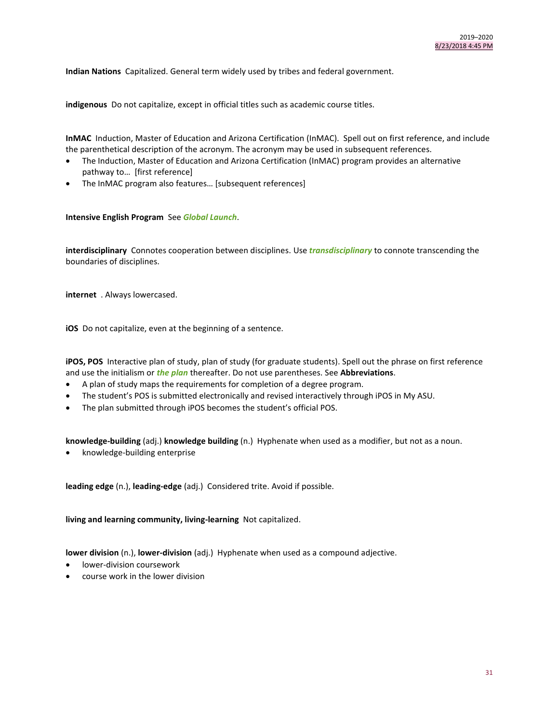**Indian Nations** Capitalized. General term widely used by tribes and federal government.

**indigenous** Do not capitalize, except in official titles such as academic course titles.

**InMAC** Induction, Master of Education and Arizona Certification (InMAC). Spell out on first reference, and include the parenthetical description of the acronym. The acronym may be used in subsequent references.

- The Induction, Master of Education and Arizona Certification (InMAC) program provides an alternative pathway to… [first reference]
- The InMAC program also features… [subsequent references]

## **Intensive English Program** See *Global Launch*.

**interdisciplinary** Connotes cooperation between disciplines. Use *transdisciplinary* to connote transcending the boundaries of disciplines.

**internet** . Always lowercased.

**iOS** Do not capitalize, even at the beginning of a sentence.

**iPOS, POS** Interactive plan of study, plan of study (for graduate students). Spell out the phrase on first reference and use the initialism or *the plan* thereafter. Do not use parentheses. See **Abbreviations**.

- A plan of study maps the requirements for completion of a degree program.
- The student's POS is submitted electronically and revised interactively through iPOS in My ASU.
- The plan submitted through iPOS becomes the student's official POS.

**knowledge-building** (adj.) **knowledge building** (n.) Hyphenate when used as a modifier, but not as a noun.

knowledge-building enterprise

**leading edge** (n.), **leading-edge** (adj.) Considered trite. Avoid if possible.

**living and learning community, living-learning** Not capitalized.

**lower division** (n.), **lower-division** (adj.) Hyphenate when used as a compound adjective.

- lower-division coursework
- course work in the lower division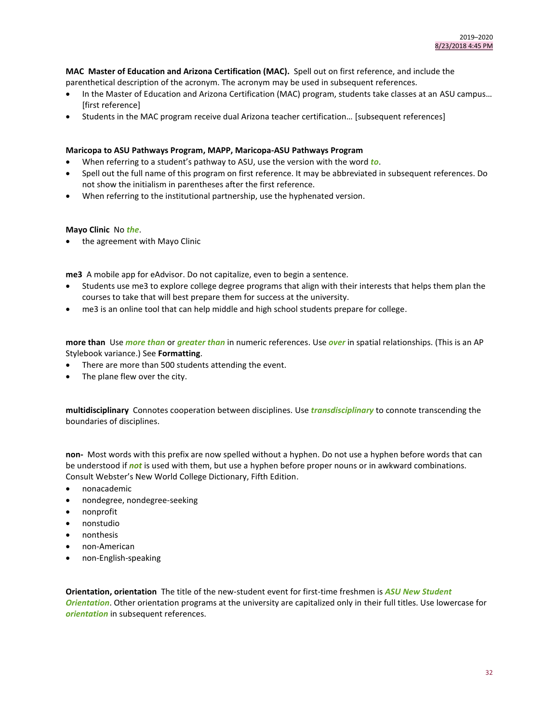**MAC Master of Education and Arizona Certification (MAC).** Spell out on first reference, and include the parenthetical description of the acronym. The acronym may be used in subsequent references.

- In the Master of Education and Arizona Certification (MAC) program, students take classes at an ASU campus… [first reference]
- Students in the MAC program receive dual Arizona teacher certification… [subsequent references]

### **Maricopa to ASU Pathways Program, MAPP, Maricopa-ASU Pathways Program**

- When referring to a student's pathway to ASU, use the version with the word *to*.
- Spell out the full name of this program on first reference. It may be abbreviated in subsequent references. Do not show the initialism in parentheses after the first reference.
- When referring to the institutional partnership, use the hyphenated version.

#### **Mayo Clinic** No *the*.

• the agreement with Mayo Clinic

**me3** A mobile app for eAdvisor. Do not capitalize, even to begin a sentence.

- Students use me3 to explore college degree programs that align with their interests that helps them plan the courses to take that will best prepare them for success at the university.
- me3 is an online tool that can help middle and high school students prepare for college.

**more than** Use *more than* or *greater than* in numeric references. Use *over* in spatial relationships. (This is an AP Stylebook variance.) See **Formatting**.

- There are more than 500 students attending the event.
- The plane flew over the city.

**multidisciplinary** Connotes cooperation between disciplines. Use *transdisciplinary* to connote transcending the boundaries of disciplines.

**non-** Most words with this prefix are now spelled without a hyphen. Do not use a hyphen before words that can be understood if *not* is used with them, but use a hyphen before proper nouns or in awkward combinations. Consult Webster's New World College Dictionary, Fifth Edition.

- nonacademic
- nondegree, nondegree-seeking
- nonprofit
- nonstudio
- nonthesis
- non-American
- non-English-speaking

**Orientation, orientation** The title of the new-student event for first-time freshmen is *ASU New Student Orientation*. Other orientation programs at the university are capitalized only in their full titles. Use lowercase for *orientation* in subsequent references.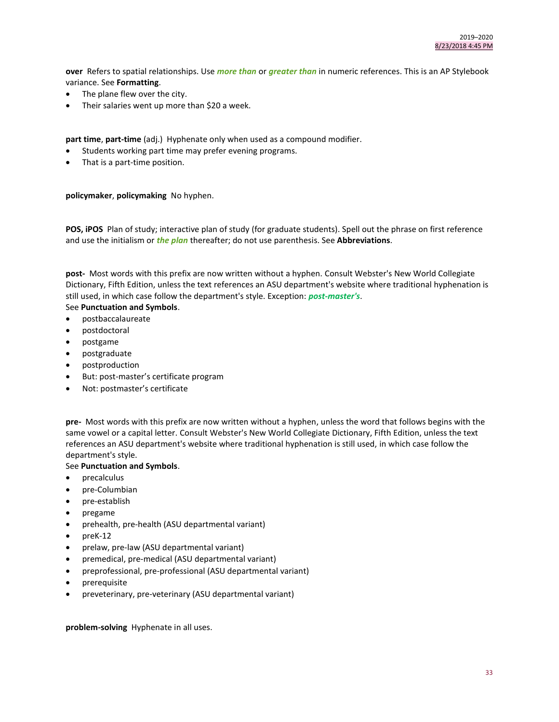**over** Refers to spatial relationships. Use *more than* or *greater than* in numeric references. This is an AP Stylebook variance. See **Formatting**.

- The plane flew over the city.
- Their salaries went up more than \$20 a week.

**part time**, **part-time** (adj.) Hyphenate only when used as a compound modifier.

- Students working part time may prefer evening programs.
- That is a part-time position.

## **policymaker**, **policymaking** No hyphen.

POS, iPOS Plan of study; interactive plan of study (for graduate students). Spell out the phrase on first reference and use the initialism or *the plan* thereafter; do not use parenthesis. See **Abbreviations**.

**post-** Most words with this prefix are now written without a hyphen. Consult Webster's New World Collegiate Dictionary, Fifth Edition, unless the text references an ASU department's website where traditional hyphenation is still used, in which case follow the department's style. Exception: *post-master's*.

## See **Punctuation and Symbols**.

- postbaccalaureate
- postdoctoral
- postgame
- postgraduate
- postproduction
- But: post-master's certificate program
- Not: postmaster's certificate

**pre-** Most words with this prefix are now written without a hyphen, unless the word that follows begins with the same vowel or a capital letter. Consult Webster's New World Collegiate Dictionary, Fifth Edition, unless the text references an ASU department's website where traditional hyphenation is still used, in which case follow the department's style.

## See **Punctuation and Symbols**.

- precalculus
- pre-Columbian
- pre-establish
- pregame
- prehealth, pre-health (ASU departmental variant)
- $\bullet$  preK-12
- prelaw, pre-law (ASU departmental variant)
- premedical, pre-medical (ASU departmental variant)
- preprofessional, pre-professional (ASU departmental variant)
- prerequisite
- preveterinary, pre-veterinary (ASU departmental variant)

**problem-solving** Hyphenate in all uses.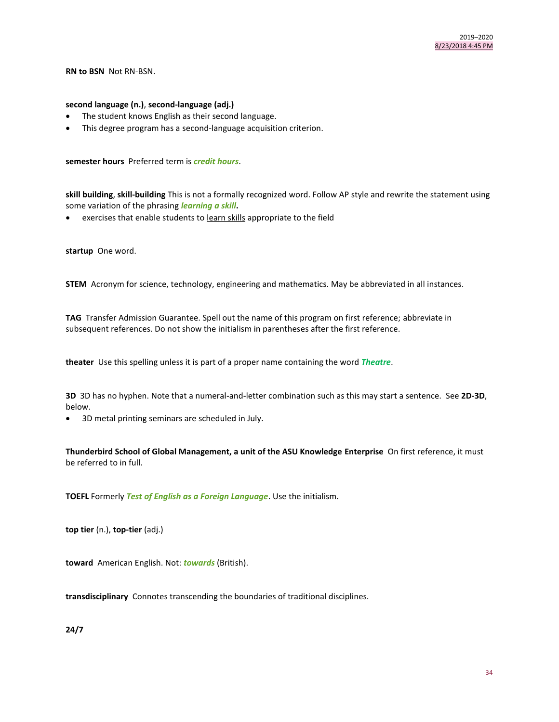**RN to BSN** Not RN-BSN.

#### **second language (n.)**, **second-language (adj.)**

- The student knows English as their second language.
- This degree program has a second-language acquisition criterion.

**semester hours** Preferred term is *credit hours*.

**skill building**, **skill-building** This is not a formally recognized word. Follow AP style and rewrite the statement using some variation of the phrasing *learning a skill***.**

exercises that enable students to learn skills appropriate to the field

**startup** One word.

**STEM** Acronym for science, technology, engineering and mathematics. May be abbreviated in all instances.

**TAG** Transfer Admission Guarantee. Spell out the name of this program on first reference; abbreviate in subsequent references. Do not show the initialism in parentheses after the first reference.

**theater** Use this spelling unless it is part of a proper name containing the word *Theatre*.

**3D** 3D has no hyphen. Note that a numeral-and-letter combination such as this may start a sentence. See **2D-3D**, below.

3D metal printing seminars are scheduled in July.

**Thunderbird School of Global Management, a unit of the ASU Knowledge Enterprise** On first reference, it must be referred to in full.

**TOEFL** Formerly *Test of English as a Foreign Language*. Use the initialism.

**top tier** (n.), **top-tier** (adj.)

**toward** American English. Not: *towards* (British).

**transdisciplinary** Connotes transcending the boundaries of traditional disciplines.

**24/7**